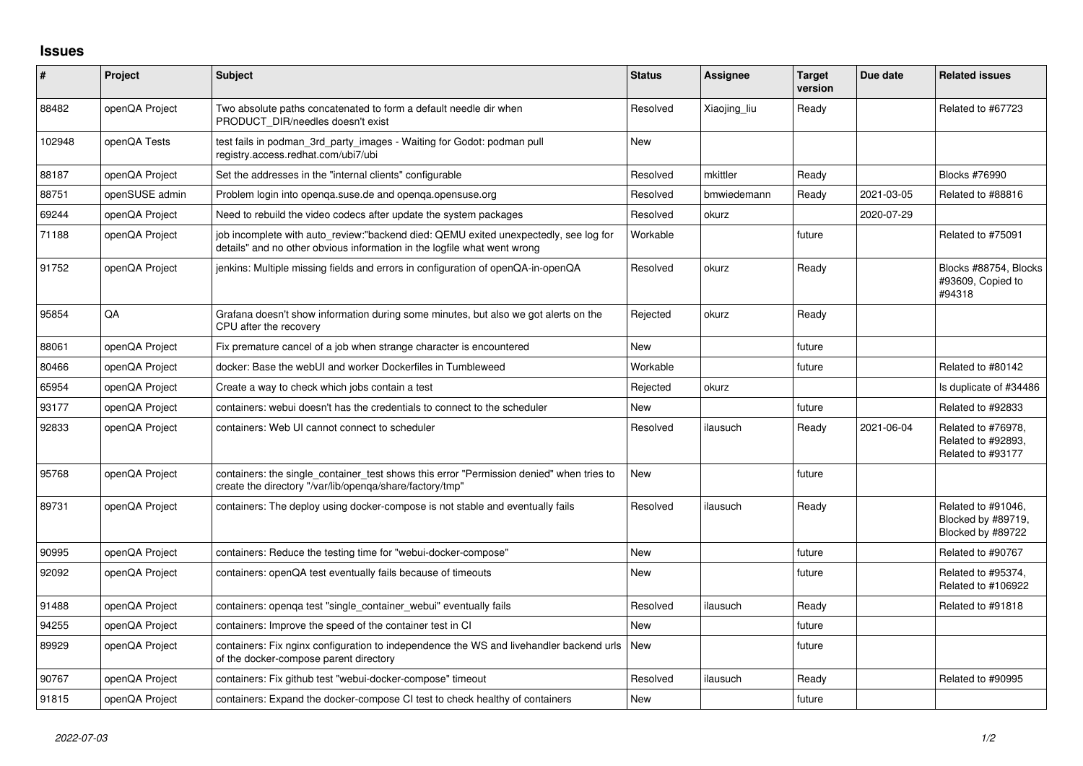## **Issues**

| $\pmb{\#}$ | Project        | <b>Subject</b>                                                                                                                                                   | <b>Status</b> | <b>Assignee</b> | <b>Target</b><br>version | Due date   | <b>Related issues</b>                                         |
|------------|----------------|------------------------------------------------------------------------------------------------------------------------------------------------------------------|---------------|-----------------|--------------------------|------------|---------------------------------------------------------------|
| 88482      | openQA Project | Two absolute paths concatenated to form a default needle dir when<br>PRODUCT DIR/needles doesn't exist                                                           | Resolved      | Xiaojing liu    | Ready                    |            | Related to #67723                                             |
| 102948     | openQA Tests   | test fails in podman_3rd_party_images - Waiting for Godot: podman pull<br>registry.access.redhat.com/ubi7/ubi                                                    | <b>New</b>    |                 |                          |            |                                                               |
| 88187      | openQA Project | Set the addresses in the "internal clients" configurable                                                                                                         | Resolved      | mkittler        | Ready                    |            | <b>Blocks #76990</b>                                          |
| 88751      | openSUSE admin | Problem login into openga.suse.de and openga.opensuse.org                                                                                                        | Resolved      | bmwiedemann     | Ready                    | 2021-03-05 | Related to #88816                                             |
| 69244      | openQA Project | Need to rebuild the video codecs after update the system packages                                                                                                | Resolved      | okurz           |                          | 2020-07-29 |                                                               |
| 71188      | openQA Project | job incomplete with auto review:"backend died: QEMU exited unexpectedly, see log for<br>details" and no other obvious information in the logfile what went wrong | Workable      |                 | future                   |            | Related to #75091                                             |
| 91752      | openQA Project | jenkins: Multiple missing fields and errors in configuration of openQA-in-openQA                                                                                 | Resolved      | okurz           | Ready                    |            | Blocks #88754, Blocks<br>#93609, Copied to<br>#94318          |
| 95854      | QA             | Grafana doesn't show information during some minutes, but also we got alerts on the<br>CPU after the recovery                                                    | Rejected      | okurz           | Ready                    |            |                                                               |
| 88061      | openQA Project | Fix premature cancel of a job when strange character is encountered                                                                                              | <b>New</b>    |                 | future                   |            |                                                               |
| 80466      | openQA Project | docker: Base the webUI and worker Dockerfiles in Tumbleweed                                                                                                      | Workable      |                 | future                   |            | Related to #80142                                             |
| 65954      | openQA Project | Create a way to check which jobs contain a test                                                                                                                  | Rejected      | okurz           |                          |            | Is duplicate of #34486                                        |
| 93177      | openQA Project | containers: webui doesn't has the credentials to connect to the scheduler                                                                                        | New           |                 | future                   |            | Related to #92833                                             |
| 92833      | openQA Project | containers: Web UI cannot connect to scheduler                                                                                                                   | Resolved      | ilausuch        | Ready                    | 2021-06-04 | Related to #76978,<br>Related to #92893,<br>Related to #93177 |
| 95768      | openQA Project | containers: the single_container_test shows this error "Permission denied" when tries to<br>create the directory "/var/lib/openqa/share/factory/tmp"             | <b>New</b>    |                 | future                   |            |                                                               |
| 89731      | openQA Project | containers: The deploy using docker-compose is not stable and eventually fails                                                                                   | Resolved      | ilausuch        | Ready                    |            | Related to #91046,<br>Blocked by #89719,<br>Blocked by #89722 |
| 90995      | openQA Project | containers: Reduce the testing time for "webui-docker-compose"                                                                                                   | <b>New</b>    |                 | future                   |            | Related to #90767                                             |
| 92092      | openQA Project | containers: openQA test eventually fails because of timeouts                                                                                                     | <b>New</b>    |                 | future                   |            | Related to #95374,<br>Related to #106922                      |
| 91488      | openQA Project | containers: openga test "single container webui" eventually fails                                                                                                | Resolved      | ilausuch        | Ready                    |            | Related to #91818                                             |
| 94255      | openQA Project | containers: Improve the speed of the container test in CI                                                                                                        | <b>New</b>    |                 | future                   |            |                                                               |
| 89929      | openQA Project | containers: Fix nginx configuration to independence the WS and livehandler backend urls<br>of the docker-compose parent directory                                | <b>New</b>    |                 | future                   |            |                                                               |
| 90767      | openQA Project | containers: Fix github test "webui-docker-compose" timeout                                                                                                       | Resolved      | ilausuch        | Ready                    |            | Related to #90995                                             |
| 91815      | openQA Project | containers: Expand the docker-compose CI test to check healthy of containers                                                                                     | <b>New</b>    |                 | future                   |            |                                                               |